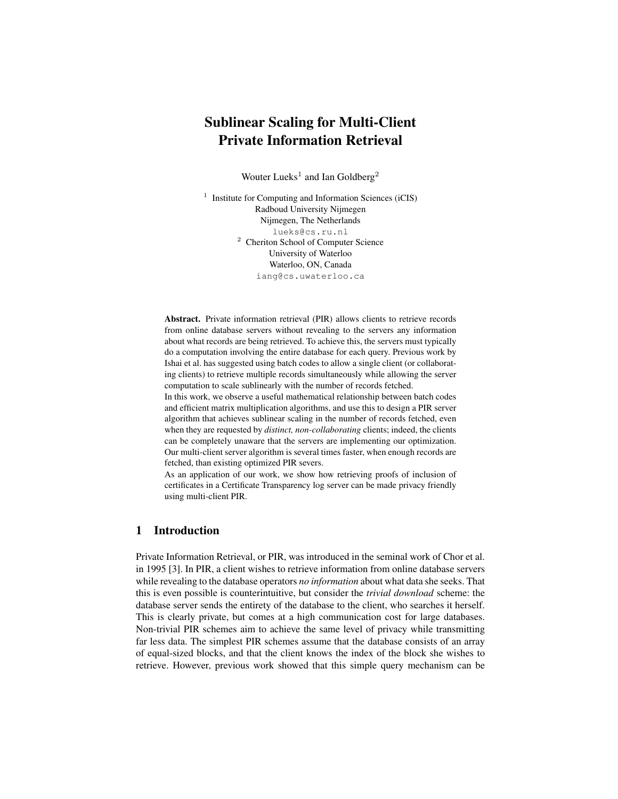# Sublinear Scaling for Multi-Client Private Information Retrieval

Wouter Lueks<sup>1</sup> and Ian Goldberg<sup>2</sup>

<sup>1</sup> Institute for Computing and Information Sciences (iCIS) Radboud University Nijmegen Nijmegen, The Netherlands lueks@cs.ru.nl <sup>2</sup> Cheriton School of Computer Science University of Waterloo Waterloo, ON, Canada iang@cs.uwaterloo.ca

Abstract. Private information retrieval (PIR) allows clients to retrieve records from online database servers without revealing to the servers any information about what records are being retrieved. To achieve this, the servers must typically do a computation involving the entire database for each query. Previous work by Ishai et al. has suggested using batch codes to allow a single client (or collaborating clients) to retrieve multiple records simultaneously while allowing the server computation to scale sublinearly with the number of records fetched.

In this work, we observe a useful mathematical relationship between batch codes and efficient matrix multiplication algorithms, and use this to design a PIR server algorithm that achieves sublinear scaling in the number of records fetched, even when they are requested by *distinct, non-collaborating* clients; indeed, the clients can be completely unaware that the servers are implementing our optimization. Our multi-client server algorithm is several times faster, when enough records are fetched, than existing optimized PIR severs.

As an application of our work, we show how retrieving proofs of inclusion of certificates in a Certificate Transparency log server can be made privacy friendly using multi-client PIR.

# 1 Introduction

Private Information Retrieval, or PIR, was introduced in the seminal work of Chor et al. in 1995 [3]. In PIR, a client wishes to retrieve information from online database servers while revealing to the database operators *no information* about what data she seeks. That this is even possible is counterintuitive, but consider the *trivial download* scheme: the database server sends the entirety of the database to the client, who searches it herself. This is clearly private, but comes at a high communication cost for large databases. Non-trivial PIR schemes aim to achieve the same level of privacy while transmitting far less data. The simplest PIR schemes assume that the database consists of an array of equal-sized blocks, and that the client knows the index of the block she wishes to retrieve. However, previous work showed that this simple query mechanism can be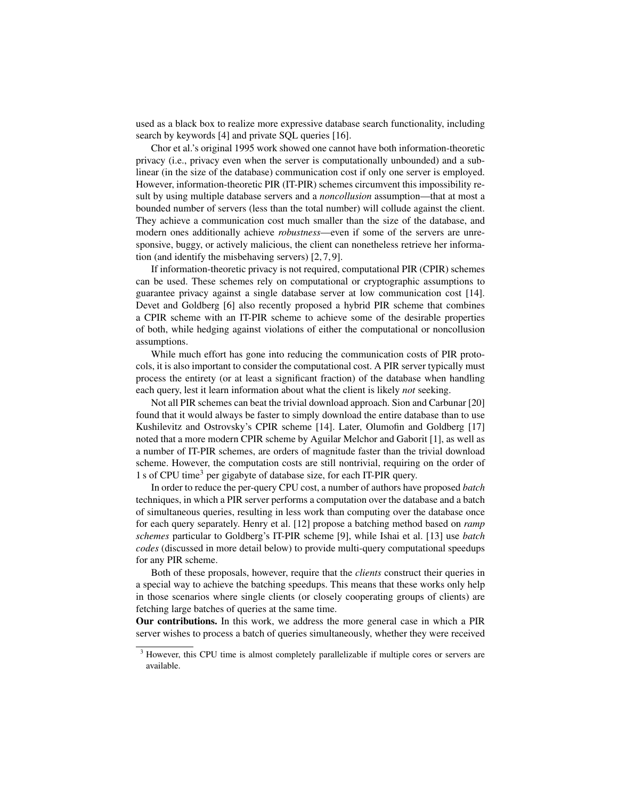used as a black box to realize more expressive database search functionality, including search by keywords [4] and private SQL queries [16].

Chor et al.'s original 1995 work showed one cannot have both information-theoretic privacy (i.e., privacy even when the server is computationally unbounded) and a sublinear (in the size of the database) communication cost if only one server is employed. However, information-theoretic PIR (IT-PIR) schemes circumvent this impossibility result by using multiple database servers and a *noncollusion* assumption—that at most a bounded number of servers (less than the total number) will collude against the client. They achieve a communication cost much smaller than the size of the database, and modern ones additionally achieve *robustness*—even if some of the servers are unresponsive, buggy, or actively malicious, the client can nonetheless retrieve her information (and identify the misbehaving servers) [2, 7, 9].

If information-theoretic privacy is not required, computational PIR (CPIR) schemes can be used. These schemes rely on computational or cryptographic assumptions to guarantee privacy against a single database server at low communication cost [14]. Devet and Goldberg [6] also recently proposed a hybrid PIR scheme that combines a CPIR scheme with an IT-PIR scheme to achieve some of the desirable properties of both, while hedging against violations of either the computational or noncollusion assumptions.

While much effort has gone into reducing the communication costs of PIR protocols, it is also important to consider the computational cost. A PIR server typically must process the entirety (or at least a significant fraction) of the database when handling each query, lest it learn information about what the client is likely *not* seeking.

Not all PIR schemes can beat the trivial download approach. Sion and Carbunar [20] found that it would always be faster to simply download the entire database than to use Kushilevitz and Ostrovsky's CPIR scheme [14]. Later, Olumofin and Goldberg [17] noted that a more modern CPIR scheme by Aguilar Melchor and Gaborit [1], as well as a number of IT-PIR schemes, are orders of magnitude faster than the trivial download scheme. However, the computation costs are still nontrivial, requiring on the order of 1 s of CPU time<sup>3</sup> per gigabyte of database size, for each IT-PIR query.

In order to reduce the per-query CPU cost, a number of authors have proposed *batch* techniques, in which a PIR server performs a computation over the database and a batch of simultaneous queries, resulting in less work than computing over the database once for each query separately. Henry et al. [12] propose a batching method based on *ramp schemes* particular to Goldberg's IT-PIR scheme [9], while Ishai et al. [13] use *batch codes* (discussed in more detail below) to provide multi-query computational speedups for any PIR scheme.

Both of these proposals, however, require that the *clients* construct their queries in a special way to achieve the batching speedups. This means that these works only help in those scenarios where single clients (or closely cooperating groups of clients) are fetching large batches of queries at the same time.

Our contributions. In this work, we address the more general case in which a PIR server wishes to process a batch of queries simultaneously, whether they were received

<sup>&</sup>lt;sup>3</sup> However, this CPU time is almost completely parallelizable if multiple cores or servers are available.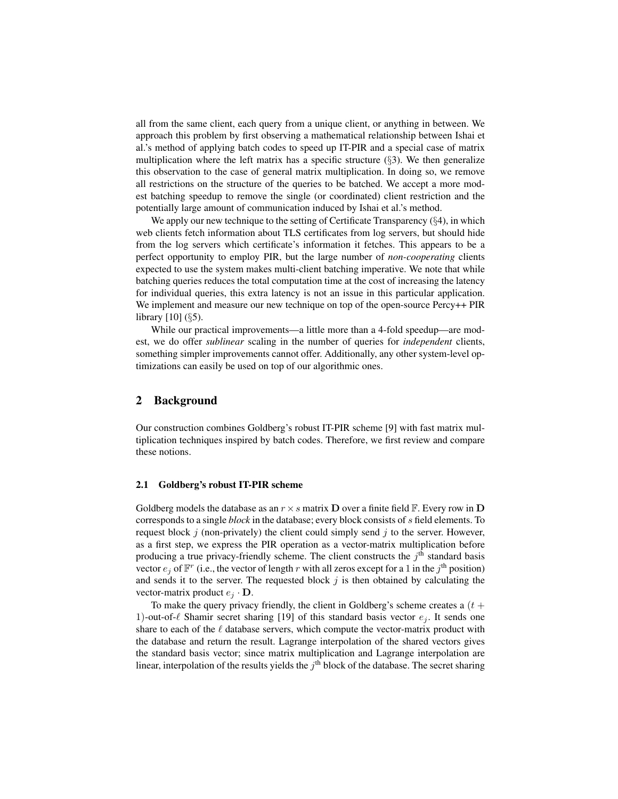all from the same client, each query from a unique client, or anything in between. We approach this problem by first observing a mathematical relationship between Ishai et al.'s method of applying batch codes to speed up IT-PIR and a special case of matrix multiplication where the left matrix has a specific structure  $(\S$ 3). We then generalize this observation to the case of general matrix multiplication. In doing so, we remove all restrictions on the structure of the queries to be batched. We accept a more modest batching speedup to remove the single (or coordinated) client restriction and the potentially large amount of communication induced by Ishai et al.'s method.

We apply our new technique to the setting of Certificate Transparency  $(\S 4)$ , in which web clients fetch information about TLS certificates from log servers, but should hide from the log servers which certificate's information it fetches. This appears to be a perfect opportunity to employ PIR, but the large number of *non-cooperating* clients expected to use the system makes multi-client batching imperative. We note that while batching queries reduces the total computation time at the cost of increasing the latency for individual queries, this extra latency is not an issue in this particular application. We implement and measure our new technique on top of the open-source Percy++ PIR library [10] (§5).

While our practical improvements—a little more than a 4-fold speedup—are modest, we do offer *sublinear* scaling in the number of queries for *independent* clients, something simpler improvements cannot offer. Additionally, any other system-level optimizations can easily be used on top of our algorithmic ones.

### 2 Background

Our construction combines Goldberg's robust IT-PIR scheme [9] with fast matrix multiplication techniques inspired by batch codes. Therefore, we first review and compare these notions.

#### 2.1 Goldberg's robust IT-PIR scheme

Goldberg models the database as an  $r \times s$  matrix D over a finite field F. Every row in D corresponds to a single *block* in the database; every block consists of s field elements. To request block  $j$  (non-privately) the client could simply send  $j$  to the server. However, as a first step, we express the PIR operation as a vector-matrix multiplication before producing a true privacy-friendly scheme. The client constructs the  $j<sup>th</sup>$  standard basis vector  $e_j$  of  $\mathbb{F}^r$  (i.e., the vector of length r with all zeros except for a 1 in the j<sup>th</sup> position) and sends it to the server. The requested block  $j$  is then obtained by calculating the vector-matrix product  $e_i \cdot D$ .

To make the query privacy friendly, the client in Goldberg's scheme creates a  $(t +$ 1)-out-of- $\ell$  Shamir secret sharing [19] of this standard basis vector  $e_i$ . It sends one share to each of the  $\ell$  database servers, which compute the vector-matrix product with the database and return the result. Lagrange interpolation of the shared vectors gives the standard basis vector; since matrix multiplication and Lagrange interpolation are linear, interpolation of the results yields the  $j<sup>th</sup>$  block of the database. The secret sharing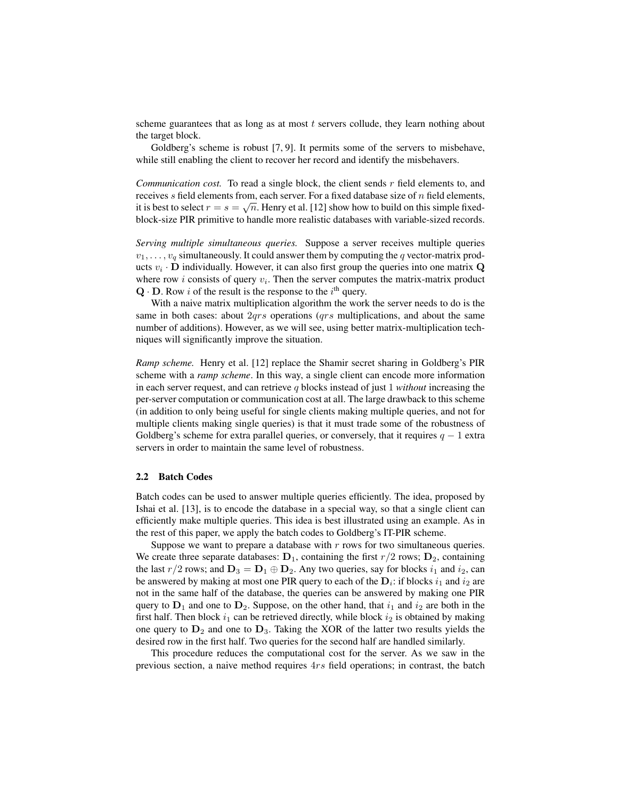scheme guarantees that as long as at most t servers collude, they learn nothing about the target block.

Goldberg's scheme is robust [7, 9]. It permits some of the servers to misbehave, while still enabling the client to recover her record and identify the misbehavers.

*Communication cost.* To read a single block, the client sends r field elements to, and receives s field elements from, each server. For a fixed database size of n field elements, it is best to select  $r = s = \sqrt{n}$ . Henry et al. [12] show how to build on this simple fixedblock-size PIR primitive to handle more realistic databases with variable-sized records.

*Serving multiple simultaneous queries.* Suppose a server receives multiple queries  $v_1, \ldots, v_q$  simultaneously. It could answer them by computing the q vector-matrix products  $v_i \cdot \mathbf{D}$  individually. However, it can also first group the queries into one matrix Q where row i consists of query  $v_i$ . Then the server computes the matrix-matrix product  $\mathbf{Q} \cdot \mathbf{D}$ . Row *i* of the result is the response to the *i*<sup>th</sup> query.

With a naive matrix multiplication algorithm the work the server needs to do is the same in both cases: about  $2qrs$  operations ( $qrs$  multiplications, and about the same number of additions). However, as we will see, using better matrix-multiplication techniques will significantly improve the situation.

*Ramp scheme.* Henry et al. [12] replace the Shamir secret sharing in Goldberg's PIR scheme with a *ramp scheme*. In this way, a single client can encode more information in each server request, and can retrieve q blocks instead of just 1 *without* increasing the per-server computation or communication cost at all. The large drawback to this scheme (in addition to only being useful for single clients making multiple queries, and not for multiple clients making single queries) is that it must trade some of the robustness of Goldberg's scheme for extra parallel queries, or conversely, that it requires  $q - 1$  extra servers in order to maintain the same level of robustness.

#### 2.2 Batch Codes

Batch codes can be used to answer multiple queries efficiently. The idea, proposed by Ishai et al. [13], is to encode the database in a special way, so that a single client can efficiently make multiple queries. This idea is best illustrated using an example. As in the rest of this paper, we apply the batch codes to Goldberg's IT-PIR scheme.

Suppose we want to prepare a database with  $r$  rows for two simultaneous queries. We create three separate databases:  $D_1$ , containing the first  $r/2$  rows;  $D_2$ , containing the last  $r/2$  rows; and  $D_3 = D_1 \oplus D_2$ . Any two queries, say for blocks  $i_1$  and  $i_2$ , can be answered by making at most one PIR query to each of the  $D_i$ : if blocks  $i_1$  and  $i_2$  are not in the same half of the database, the queries can be answered by making one PIR query to  $D_1$  and one to  $D_2$ . Suppose, on the other hand, that  $i_1$  and  $i_2$  are both in the first half. Then block  $i_1$  can be retrieved directly, while block  $i_2$  is obtained by making one query to  $D_2$  and one to  $D_3$ . Taking the XOR of the latter two results yields the desired row in the first half. Two queries for the second half are handled similarly.

This procedure reduces the computational cost for the server. As we saw in the previous section, a naive method requires 4rs field operations; in contrast, the batch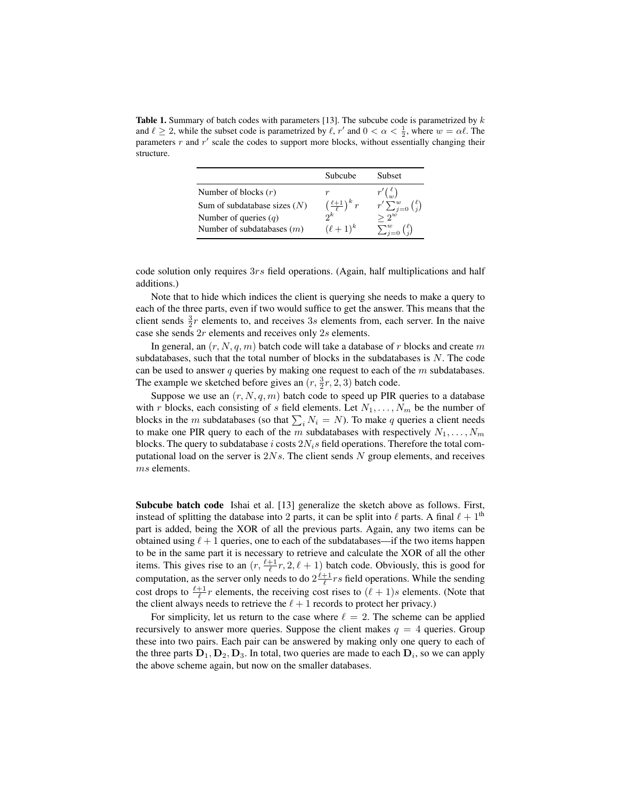**Table 1.** Summary of batch codes with parameters [13]. The subcube code is parametrized by  $k$ and  $\ell \ge 2$ , while the subset code is parametrized by  $\ell$ , r' and  $0 < \alpha < \frac{1}{2}$ , where  $w = \alpha \ell$ . The parameters  $r$  and  $r'$  scale the codes to support more blocks, without essentially changing their structure.

|                                | Subcube                                | <b>Subset</b>                                                                |
|--------------------------------|----------------------------------------|------------------------------------------------------------------------------|
| Number of blocks $(r)$         |                                        | $r' \binom{\ell}{w}$                                                         |
| Sum of subdatabase sizes $(N)$ | $\left(\frac{\ell+1}{\ell}\right)^k r$ | $\begin{array}{l} r' \sum_{j=0}^{w} {\ell \choose j} \\ > 2^{w} \end{array}$ |
| Number of queries $(q)$        | $\mathcal{R}$                          |                                                                              |
| Number of subdatabases $(m)$   | $(\ell+1)^k$                           | $\sum_{i=0}^{w} {\ell \choose i}$                                            |

code solution only requires  $3rs$  field operations. (Again, half multiplications and half additions.)

Note that to hide which indices the client is querying she needs to make a query to each of the three parts, even if two would suffice to get the answer. This means that the client sends  $\frac{3}{2}r$  elements to, and receives 3s elements from, each server. In the naive case she sends 2r elements and receives only 2s elements.

In general, an  $(r, N, q, m)$  batch code will take a database of r blocks and create m subdatabases, such that the total number of blocks in the subdatabases is  $N$ . The code can be used to answer  $q$  queries by making one request to each of the  $m$  subdatabases. The example we sketched before gives an  $(r, \frac{3}{2}r, 2, 3)$  batch code.

Suppose we use an  $(r, N, q, m)$  batch code to speed up PIR queries to a database with r blocks, each consisting of s field elements. Let  $N_1, \ldots, N_m$  be the number of blocks in the m subdatabases (so that  $\sum_i N_i = N$ ). To make q queries a client needs to make one PIR query to each of the m subdatabases with respectively  $N_1, \ldots, N_m$ blocks. The query to subdatabase i costs  $2N_i$ s field operations. Therefore the total computational load on the server is  $2Ns$ . The client sends  $N$  group elements, and receives ms elements.

Subcube batch code Ishai et al. [13] generalize the sketch above as follows. First, instead of splitting the database into 2 parts, it can be split into  $\ell$  parts. A final  $\ell + 1^{\text{th}}$ part is added, being the XOR of all the previous parts. Again, any two items can be obtained using  $\ell + 1$  queries, one to each of the subdatabases—if the two items happen to be in the same part it is necessary to retrieve and calculate the XOR of all the other items. This gives rise to an  $(r, \frac{\ell+1}{\ell}r, 2, \ell+1)$  batch code. Obviously, this is good for computation, as the server only needs to do  $2\frac{\ell+1}{\ell}rs$  field operations. While the sending cost drops to  $\frac{\ell+1}{\ell}r$  elements, the receiving cost rises to  $(\ell + 1)s$  elements. (Note that the client always needs to retrieve the  $\ell + 1$  records to protect her privacy.)

For simplicity, let us return to the case where  $\ell = 2$ . The scheme can be applied recursively to answer more queries. Suppose the client makes  $q = 4$  queries. Group these into two pairs. Each pair can be answered by making only one query to each of the three parts  $D_1, D_2, D_3$ . In total, two queries are made to each  $D_i$ , so we can apply the above scheme again, but now on the smaller databases.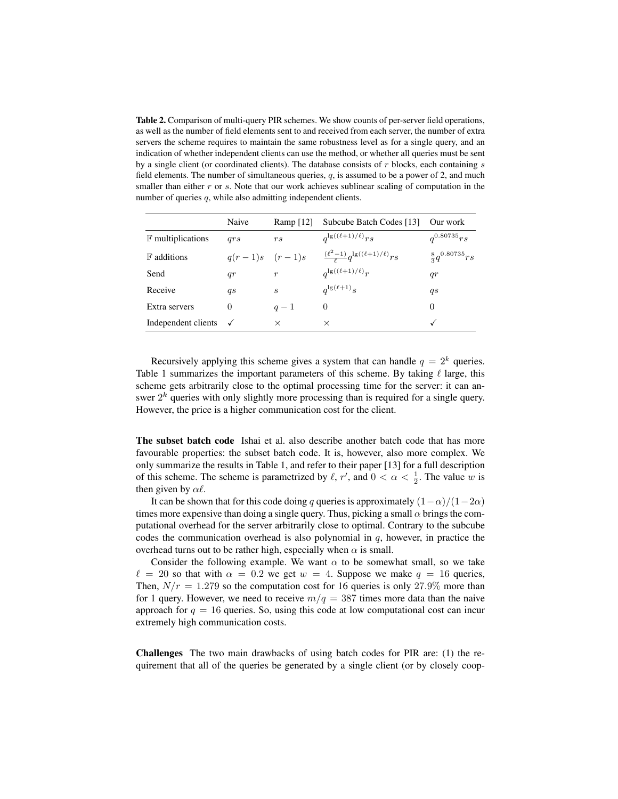Table 2. Comparison of multi-query PIR schemes. We show counts of per-server field operations, as well as the number of field elements sent to and received from each server, the number of extra servers the scheme requires to maintain the same robustness level as for a single query, and an indication of whether independent clients can use the method, or whether all queries must be sent by a single client (or coordinated clients). The database consists of  $r$  blocks, each containing  $s$ field elements. The number of simultaneous queries,  $q$ , is assumed to be a power of 2, and much smaller than either  $r$  or  $s$ . Note that our work achieves sublinear scaling of computation in the number of queries  $q$ , while also admitting independent clients.

|                             | Naive              | Ramp $[12]$ | Subcube Batch Codes [13]                          | Our work                   |
|-----------------------------|--------------------|-------------|---------------------------------------------------|----------------------------|
| $\mathbb F$ multiplications | <i>ars</i>         | rs          | $q^{\lg((\ell+1)/\ell)}$ rs                       | $q^{0.80735}$ rs           |
| $\mathbb F$ additions       | $q(r-1)s$ $(r-1)s$ |             | $\frac{(\ell^2-1)}{\ell}q^{\lg((\ell+1)/\ell)}rs$ | $\frac{8}{3}q^{0.80735}rs$ |
| Send                        | qr                 | $\,r$       | $q^{\lg((\ell+1)/\ell)}r$                         | qr                         |
| Receive                     | qs                 | S           | $q^{\lg(\ell+1)}s$                                | qs                         |
| Extra servers               | $\theta$           | $q-1$       | $\theta$                                          | $\theta$                   |
| Independent clients         |                    | $\times$    | $\times$                                          |                            |

Recursively applying this scheme gives a system that can handle  $q = 2<sup>k</sup>$  queries. Table 1 summarizes the important parameters of this scheme. By taking  $\ell$  large, this scheme gets arbitrarily close to the optimal processing time for the server: it can answer  $2<sup>k</sup>$  queries with only slightly more processing than is required for a single query. However, the price is a higher communication cost for the client.

The subset batch code Ishai et al. also describe another batch code that has more favourable properties: the subset batch code. It is, however, also more complex. We only summarize the results in Table 1, and refer to their paper [13] for a full description of this scheme. The scheme is parametrized by  $\ell$ ,  $r'$ , and  $0 < \alpha < \frac{1}{2}$ . The value w is then given by  $\alpha \ell$ .

It can be shown that for this code doing q queries is approximately  $(1-\alpha)/(1-2\alpha)$ times more expensive than doing a single query. Thus, picking a small  $\alpha$  brings the computational overhead for the server arbitrarily close to optimal. Contrary to the subcube codes the communication overhead is also polynomial in  $q$ , however, in practice the overhead turns out to be rather high, especially when  $\alpha$  is small.

Consider the following example. We want  $\alpha$  to be somewhat small, so we take  $\ell = 20$  so that with  $\alpha = 0.2$  we get  $w = 4$ . Suppose we make  $q = 16$  queries, Then,  $N/r = 1.279$  so the computation cost for 16 queries is only 27.9% more than for 1 query. However, we need to receive  $m/q = 387$  times more data than the naive approach for  $q = 16$  queries. So, using this code at low computational cost can incur extremely high communication costs.

Challenges The two main drawbacks of using batch codes for PIR are: (1) the requirement that all of the queries be generated by a single client (or by closely coop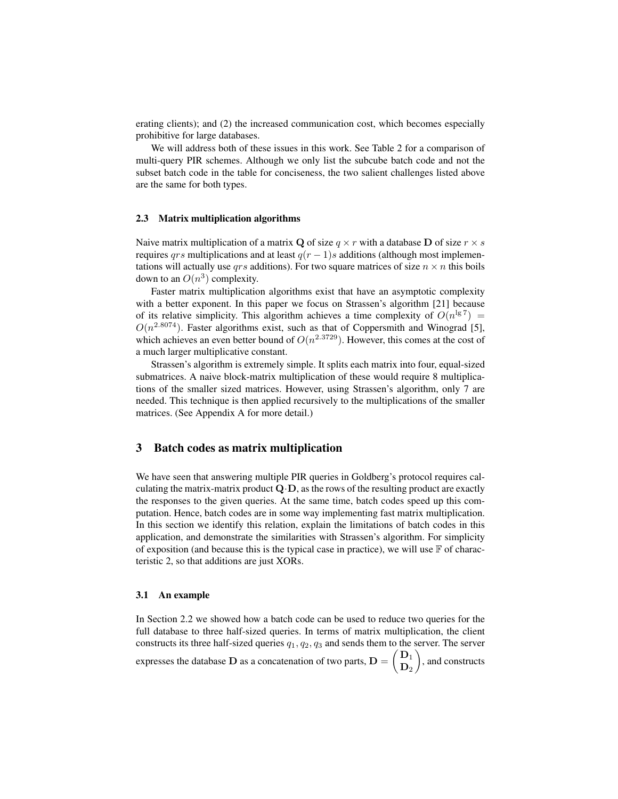erating clients); and (2) the increased communication cost, which becomes especially prohibitive for large databases.

We will address both of these issues in this work. See Table 2 for a comparison of multi-query PIR schemes. Although we only list the subcube batch code and not the subset batch code in the table for conciseness, the two salient challenges listed above are the same for both types.

### 2.3 Matrix multiplication algorithms

Naive matrix multiplication of a matrix **Q** of size  $q \times r$  with a database **D** of size  $r \times s$ requires qrs multiplications and at least  $q(r-1)s$  additions (although most implementations will actually use *qrs* additions). For two square matrices of size  $n \times n$  this boils down to an  $O(n^3)$  complexity.

Faster matrix multiplication algorithms exist that have an asymptotic complexity with a better exponent. In this paper we focus on Strassen's algorithm [21] because of its relative simplicity. This algorithm achieves a time complexity of  $O(n^{\lg 7})$  =  $O(n^{2.8074})$ . Faster algorithms exist, such as that of Coppersmith and Winograd [5], which achieves an even better bound of  $O(n^{2.3729})$ . However, this comes at the cost of a much larger multiplicative constant.

Strassen's algorithm is extremely simple. It splits each matrix into four, equal-sized submatrices. A naive block-matrix multiplication of these would require 8 multiplications of the smaller sized matrices. However, using Strassen's algorithm, only 7 are needed. This technique is then applied recursively to the multiplications of the smaller matrices. (See Appendix A for more detail.)

### 3 Batch codes as matrix multiplication

We have seen that answering multiple PIR queries in Goldberg's protocol requires calculating the matrix-matrix product  $\mathbf{Q} \cdot \mathbf{D}$ , as the rows of the resulting product are exactly the responses to the given queries. At the same time, batch codes speed up this computation. Hence, batch codes are in some way implementing fast matrix multiplication. In this section we identify this relation, explain the limitations of batch codes in this application, and demonstrate the similarities with Strassen's algorithm. For simplicity of exposition (and because this is the typical case in practice), we will use  $\mathbb F$  of characteristic 2, so that additions are just XORs.

#### 3.1 An example

In Section 2.2 we showed how a batch code can be used to reduce two queries for the full database to three half-sized queries. In terms of matrix multiplication, the client constructs its three half-sized queries  $q_1, q_2, q_3$  and sends them to the server. The server expresses the database **D** as a concatenation of two parts, **D** =  $\begin{pmatrix} \mathbf{D}_1 \\ \mathbf{D}_2 \end{pmatrix}$  $\mathbf{D}_2$ ), and constructs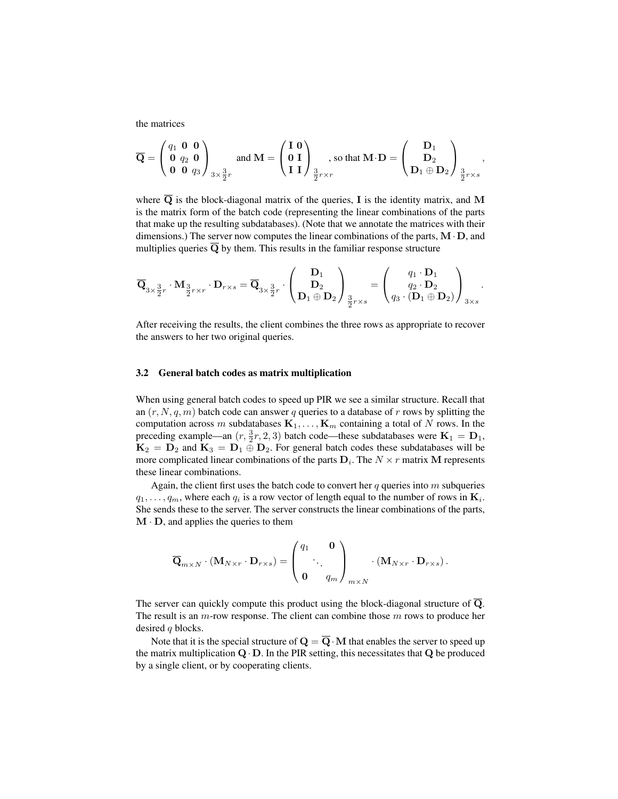the matrices

$$
\overline{\mathbf{Q}} = \begin{pmatrix} q_1 & \mathbf{0} & \mathbf{0} \\ \mathbf{0} & q_2 & \mathbf{0} \\ \mathbf{0} & \mathbf{0} & q_3 \end{pmatrix}_{3 \times \frac{3}{2}r} \text{ and } \mathbf{M} = \begin{pmatrix} \mathbf{I} & \mathbf{0} \\ \mathbf{0} & \mathbf{I} \\ \mathbf{I} & \mathbf{I} \end{pmatrix}_{\frac{3}{2}r \times r}, \text{ so that } \mathbf{M} \cdot \mathbf{D} = \begin{pmatrix} \mathbf{D}_1 \\ \mathbf{D}_2 \\ \mathbf{D}_1 \oplus \mathbf{D}_2 \end{pmatrix}_{\frac{3}{2}r \times s},
$$

where  $\overline{Q}$  is the block-diagonal matrix of the queries, I is the identity matrix, and M is the matrix form of the batch code (representing the linear combinations of the parts that make up the resulting subdatabases). (Note that we annotate the matrices with their dimensions.) The server now computes the linear combinations of the parts,  $\mathbf{M} \cdot \mathbf{D}$ , and multiplies queries  $\overline{Q}$  by them. This results in the familiar response structure

$$
\overline{\mathbf{Q}}_{3\times \frac{3}{2}r}\cdot \mathbf{M}_{\frac{3}{2}r\times r}\cdot \mathbf{D}_{r\times s}=\overline{\mathbf{Q}}_{3\times \frac{3}{2}r}\cdot \left(\begin{matrix}\mathbf{D}_1\\\mathbf{D}_2\\\mathbf{D}_1\oplus \mathbf{D}_2\end{matrix}\right)_{\frac{3}{2}r\times s}=\left(\begin{matrix}q_1\cdot \mathbf{D}_1\\\color{red}{q_2\cdot \mathbf{D}_2}\\\color{red}{q_3\cdot (\mathbf{D}_1\oplus \mathbf{D}_2)}\end{matrix}\right)_{3\times s}.
$$

After receiving the results, the client combines the three rows as appropriate to recover the answers to her two original queries.

### 3.2 General batch codes as matrix multiplication

When using general batch codes to speed up PIR we see a similar structure. Recall that an  $(r, N, q, m)$  batch code can answer q queries to a database of r rows by splitting the computation across m subdatabases  $\mathbf{K}_1, \ldots, \mathbf{K}_m$  containing a total of N rows. In the preceding example—an  $(r, \frac{3}{2}r, 2, 3)$  batch code—these subdatabases were  $\mathbf{K}_1 = \mathbf{D}_1$ ,  $K_2 = D_2$  and  $K_3 = D_1 \oplus D_2$ . For general batch codes these subdatabases will be more complicated linear combinations of the parts  $D_i$ . The  $N \times r$  matrix M represents these linear combinations.

Again, the client first uses the batch code to convert her  $q$  queries into  $m$  subqueries  $q_1, \ldots, q_m$ , where each  $q_i$  is a row vector of length equal to the number of rows in  $\mathbf{K}_i$ . She sends these to the server. The server constructs the linear combinations of the parts,  $M \cdot D$ , and applies the queries to them

$$
\overline{\mathbf{Q}}_{m\times N} \cdot (\mathbf{M}_{N\times r} \cdot \mathbf{D}_{r\times s}) = \begin{pmatrix} q_1 & \mathbf{0} \\ & \ddots & \\ \mathbf{0} & q_m \end{pmatrix}_{m\times N} \cdot (\mathbf{M}_{N\times r} \cdot \mathbf{D}_{r\times s}).
$$

The server can quickly compute this product using the block-diagonal structure of  $\overline{Q}$ . The result is an  $m$ -row response. The client can combine those  $m$  rows to produce her desired q blocks.

Note that it is the special structure of  $\mathbf{Q} = \overline{\mathbf{Q}} \cdot \mathbf{M}$  that enables the server to speed up the matrix multiplication  $Q \cdot D$ . In the PIR setting, this necessitates that  $Q$  be produced by a single client, or by cooperating clients.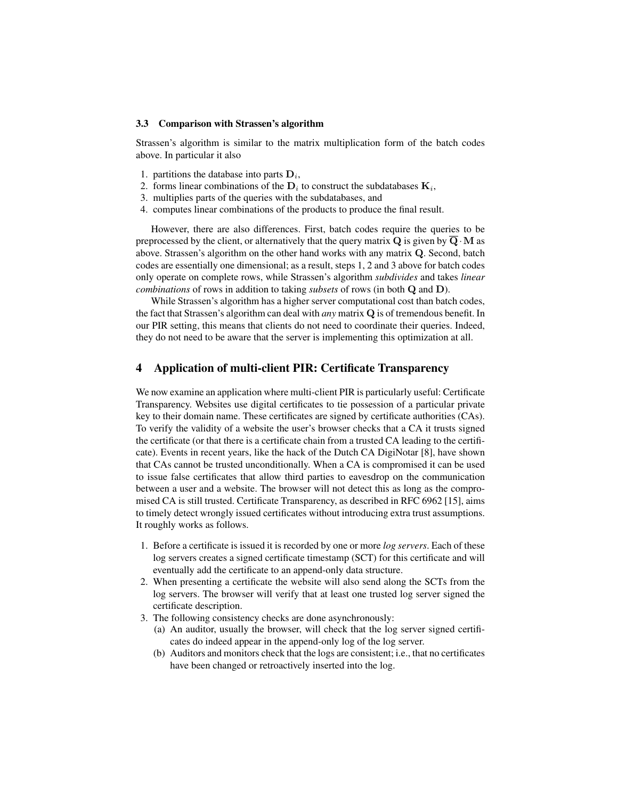#### 3.3 Comparison with Strassen's algorithm

Strassen's algorithm is similar to the matrix multiplication form of the batch codes above. In particular it also

- 1. partitions the database into parts  $D_i$ ,
- 2. forms linear combinations of the  $D_i$  to construct the subdatabases  $\mathbf{K}_i$ ,
- 3. multiplies parts of the queries with the subdatabases, and
- 4. computes linear combinations of the products to produce the final result.

However, there are also differences. First, batch codes require the queries to be preprocessed by the client, or alternatively that the query matrix  $Q$  is given by  $\overline{Q} \cdot M$  as above. Strassen's algorithm on the other hand works with any matrix Q. Second, batch codes are essentially one dimensional; as a result, steps 1, 2 and 3 above for batch codes only operate on complete rows, while Strassen's algorithm *subdivides* and takes *linear combinations* of rows in addition to taking *subsets* of rows (in both Q and D).

While Strassen's algorithm has a higher server computational cost than batch codes, the fact that Strassen's algorithm can deal with *any* matrix Q is of tremendous benefit. In our PIR setting, this means that clients do not need to coordinate their queries. Indeed, they do not need to be aware that the server is implementing this optimization at all.

### 4 Application of multi-client PIR: Certificate Transparency

We now examine an application where multi-client PIR is particularly useful: Certificate Transparency. Websites use digital certificates to tie possession of a particular private key to their domain name. These certificates are signed by certificate authorities (CAs). To verify the validity of a website the user's browser checks that a CA it trusts signed the certificate (or that there is a certificate chain from a trusted CA leading to the certificate). Events in recent years, like the hack of the Dutch CA DigiNotar [8], have shown that CAs cannot be trusted unconditionally. When a CA is compromised it can be used to issue false certificates that allow third parties to eavesdrop on the communication between a user and a website. The browser will not detect this as long as the compromised CA is still trusted. Certificate Transparency, as described in RFC 6962 [15], aims to timely detect wrongly issued certificates without introducing extra trust assumptions. It roughly works as follows.

- 1. Before a certificate is issued it is recorded by one or more *log servers*. Each of these log servers creates a signed certificate timestamp (SCT) for this certificate and will eventually add the certificate to an append-only data structure.
- 2. When presenting a certificate the website will also send along the SCTs from the log servers. The browser will verify that at least one trusted log server signed the certificate description.
- 3. The following consistency checks are done asynchronously:
	- (a) An auditor, usually the browser, will check that the log server signed certificates do indeed appear in the append-only log of the log server.
	- (b) Auditors and monitors check that the logs are consistent; i.e., that no certificates have been changed or retroactively inserted into the log.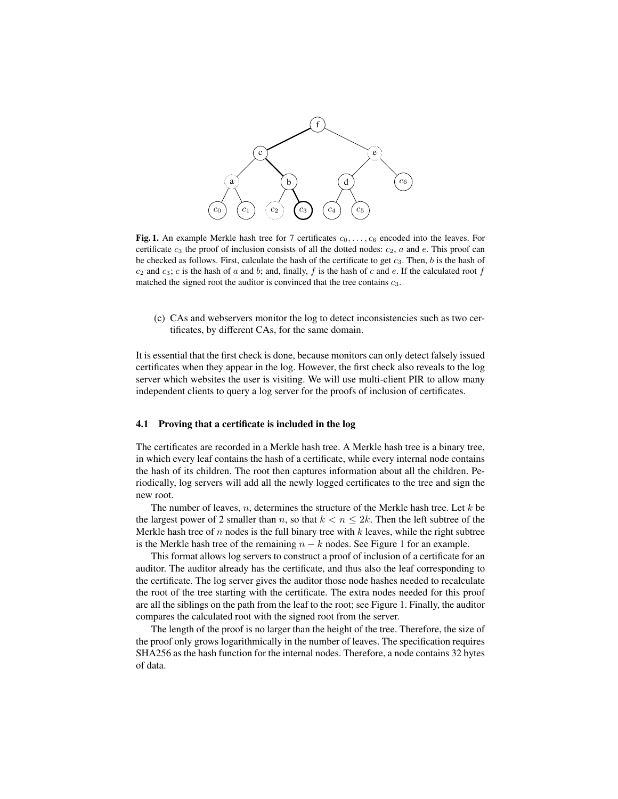

Fig. 1. An example Merkle hash tree for 7 certificates  $c_0, \ldots, c_6$  encoded into the leaves. For certificate  $c_3$  the proof of inclusion consists of all the dotted nodes:  $c_2$ , a and e. This proof can be checked as follows. First, calculate the hash of the certificate to get  $c_3$ . Then, b is the hash of  $c_2$  and  $c_3$ ; c is the hash of a and b; and, finally, f is the hash of c and e. If the calculated root f matched the signed root the auditor is convinced that the tree contains  $c_3$ .

(c) CAs and webservers monitor the log to detect inconsistencies such as two certificates, by different CAs, for the same domain.

It is essential that the first check is done, because monitors can only detect falsely issued certificates when they appear in the log. However, the first check also reveals to the log server which websites the user is visiting. We will use multi-client PIR to allow many independent clients to query a log server for the proofs of inclusion of certificates.

### 4.1 Proving that a certificate is included in the log

The certificates are recorded in a Merkle hash tree. A Merkle hash tree is a binary tree, in which every leaf contains the hash of a certificate, while every internal node contains the hash of its children. The root then captures information about all the children. Periodically, log servers will add all the newly logged certificates to the tree and sign the new root.

The number of leaves, n, determines the structure of the Merkle hash tree. Let  $k$  be the largest power of 2 smaller than n, so that  $k < n \leq 2k$ . Then the left subtree of the Merkle hash tree of  $n$  nodes is the full binary tree with  $k$  leaves, while the right subtree is the Merkle hash tree of the remaining  $n - k$  nodes. See Figure 1 for an example.

This format allows log servers to construct a proof of inclusion of a certificate for an auditor. The auditor already has the certificate, and thus also the leaf corresponding to the certificate. The log server gives the auditor those node hashes needed to recalculate the root of the tree starting with the certificate. The extra nodes needed for this proof are all the siblings on the path from the leaf to the root; see Figure 1. Finally, the auditor compares the calculated root with the signed root from the server.

The length of the proof is no larger than the height of the tree. Therefore, the size of the proof only grows logarithmically in the number of leaves. The specification requires SHA256 as the hash function for the internal nodes. Therefore, a node contains 32 bytes of data.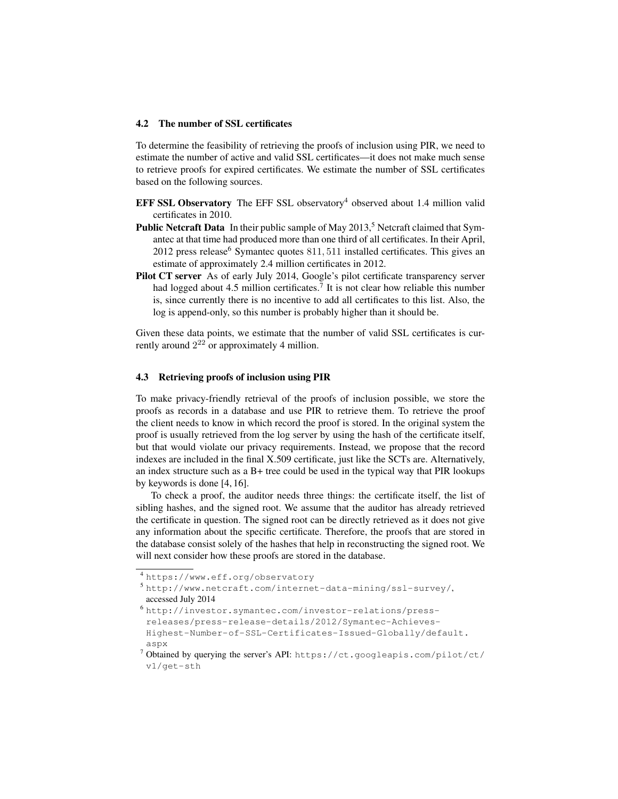### 4.2 The number of SSL certificates

To determine the feasibility of retrieving the proofs of inclusion using PIR, we need to estimate the number of active and valid SSL certificates—it does not make much sense to retrieve proofs for expired certificates. We estimate the number of SSL certificates based on the following sources.

- EFF SSL Observatory The EFF SSL observatory<sup>4</sup> observed about 1.4 million valid certificates in 2010.
- **Public Netcraft Data** In their public sample of May  $2013$ ,<sup>5</sup> Netcraft claimed that Symantec at that time had produced more than one third of all certificates. In their April,  $2012$  press release<sup>6</sup> Symantec quotes  $811,511$  installed certificates. This gives an estimate of approximately 2.4 million certificates in 2012.
- Pilot CT server As of early July 2014, Google's pilot certificate transparency server had logged about 4.5 million certificates.<sup>7</sup> It is not clear how reliable this number is, since currently there is no incentive to add all certificates to this list. Also, the log is append-only, so this number is probably higher than it should be.

Given these data points, we estimate that the number of valid SSL certificates is currently around  $2^{22}$  or approximately 4 million.

### 4.3 Retrieving proofs of inclusion using PIR

To make privacy-friendly retrieval of the proofs of inclusion possible, we store the proofs as records in a database and use PIR to retrieve them. To retrieve the proof the client needs to know in which record the proof is stored. In the original system the proof is usually retrieved from the log server by using the hash of the certificate itself, but that would violate our privacy requirements. Instead, we propose that the record indexes are included in the final X.509 certificate, just like the SCTs are. Alternatively, an index structure such as a  $B+$  tree could be used in the typical way that PIR lookups by keywords is done [4, 16].

To check a proof, the auditor needs three things: the certificate itself, the list of sibling hashes, and the signed root. We assume that the auditor has already retrieved the certificate in question. The signed root can be directly retrieved as it does not give any information about the specific certificate. Therefore, the proofs that are stored in the database consist solely of the hashes that help in reconstructing the signed root. We will next consider how these proofs are stored in the database.

<sup>4</sup> https://www.eff.org/observatory

<sup>5</sup> http://www.netcraft.com/internet-data-mining/ssl-survey/, accessed July 2014

<sup>6</sup> http://investor.symantec.com/investor-relations/pressreleases/press-release-details/2012/Symantec-Achieves-Highest-Number-of-SSL-Certificates-Issued-Globally/default. aspx

<sup>7</sup> Obtained by querying the server's API: https://ct.googleapis.com/pilot/ct/ v1/get-sth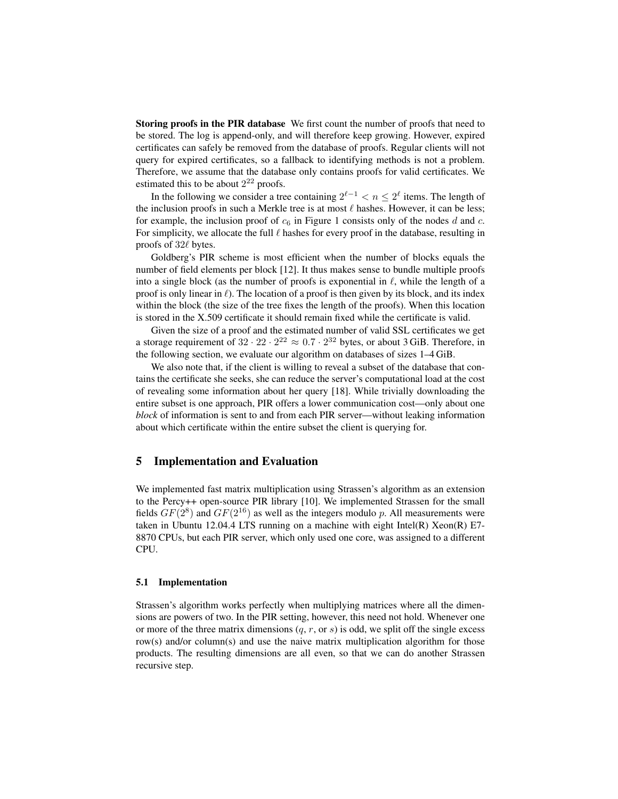Storing proofs in the PIR database We first count the number of proofs that need to be stored. The log is append-only, and will therefore keep growing. However, expired certificates can safely be removed from the database of proofs. Regular clients will not query for expired certificates, so a fallback to identifying methods is not a problem. Therefore, we assume that the database only contains proofs for valid certificates. We estimated this to be about  $2^{22}$  proofs.

In the following we consider a tree containing  $2^{\ell-1} < n \leq 2^{\ell}$  items. The length of the inclusion proofs in such a Merkle tree is at most  $\ell$  hashes. However, it can be less; for example, the inclusion proof of  $c_6$  in Figure 1 consists only of the nodes d and c. For simplicity, we allocate the full  $\ell$  hashes for every proof in the database, resulting in proofs of  $32\ell$  bytes.

Goldberg's PIR scheme is most efficient when the number of blocks equals the number of field elements per block [12]. It thus makes sense to bundle multiple proofs into a single block (as the number of proofs is exponential in  $\ell$ , while the length of a proof is only linear in  $\ell$ ). The location of a proof is then given by its block, and its index within the block (the size of the tree fixes the length of the proofs). When this location is stored in the X.509 certificate it should remain fixed while the certificate is valid.

Given the size of a proof and the estimated number of valid SSL certificates we get a storage requirement of  $32 \cdot 22 \cdot 2^{22} \approx 0.7 \cdot 2^{32}$  bytes, or about 3 GiB. Therefore, in the following section, we evaluate our algorithm on databases of sizes 1–4 GiB.

We also note that, if the client is willing to reveal a subset of the database that contains the certificate she seeks, she can reduce the server's computational load at the cost of revealing some information about her query [18]. While trivially downloading the entire subset is one approach, PIR offers a lower communication cost—only about one *block* of information is sent to and from each PIR server—without leaking information about which certificate within the entire subset the client is querying for.

### 5 Implementation and Evaluation

We implemented fast matrix multiplication using Strassen's algorithm as an extension to the Percy++ open-source PIR library [10]. We implemented Strassen for the small fields  $GF(2^8)$  and  $GF(2^{16})$  as well as the integers modulo p. All measurements were taken in Ubuntu 12.04.4 LTS running on a machine with eight Intel(R) Xeon(R) E7- 8870 CPUs, but each PIR server, which only used one core, was assigned to a different CPU.

### 5.1 Implementation

Strassen's algorithm works perfectly when multiplying matrices where all the dimensions are powers of two. In the PIR setting, however, this need not hold. Whenever one or more of the three matrix dimensions  $(q, r, \text{or } s)$  is odd, we split off the single excess row(s) and/or column(s) and use the naive matrix multiplication algorithm for those products. The resulting dimensions are all even, so that we can do another Strassen recursive step.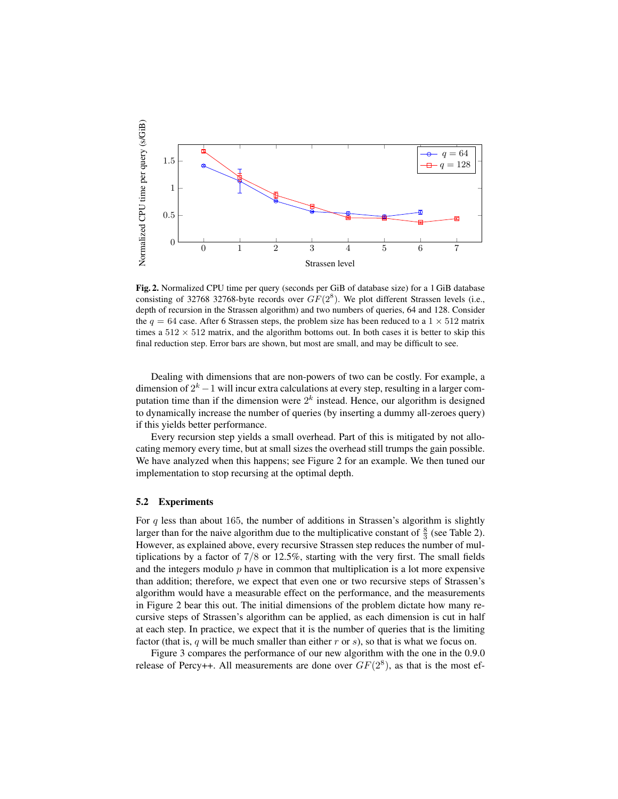

Fig. 2. Normalized CPU time per query (seconds per GiB of database size) for a 1 GiB database consisting of 32768 32768-byte records over  $GF(2^8)$ . We plot different Strassen levels (i.e., depth of recursion in the Strassen algorithm) and two numbers of queries, 64 and 128. Consider the  $q = 64$  case. After 6 Strassen steps, the problem size has been reduced to a  $1 \times 512$  matrix times a  $512 \times 512$  matrix, and the algorithm bottoms out. In both cases it is better to skip this final reduction step. Error bars are shown, but most are small, and may be difficult to see.

Dealing with dimensions that are non-powers of two can be costly. For example, a dimension of  $2^k - 1$  will incur extra calculations at every step, resulting in a larger computation time than if the dimension were  $2^k$  instead. Hence, our algorithm is designed to dynamically increase the number of queries (by inserting a dummy all-zeroes query) if this yields better performance.

Every recursion step yields a small overhead. Part of this is mitigated by not allocating memory every time, but at small sizes the overhead still trumps the gain possible. We have analyzed when this happens; see Figure 2 for an example. We then tuned our implementation to stop recursing at the optimal depth.

#### 5.2 Experiments

For  $q$  less than about 165, the number of additions in Strassen's algorithm is slightly larger than for the naive algorithm due to the multiplicative constant of  $\frac{8}{3}$  (see Table 2). However, as explained above, every recursive Strassen step reduces the number of multiplications by a factor of  $7/8$  or  $12.5\%$ , starting with the very first. The small fields and the integers modulo  $p$  have in common that multiplication is a lot more expensive than addition; therefore, we expect that even one or two recursive steps of Strassen's algorithm would have a measurable effect on the performance, and the measurements in Figure 2 bear this out. The initial dimensions of the problem dictate how many recursive steps of Strassen's algorithm can be applied, as each dimension is cut in half at each step. In practice, we expect that it is the number of queries that is the limiting factor (that is, q will be much smaller than either  $r$  or  $s$ ), so that is what we focus on.

Figure 3 compares the performance of our new algorithm with the one in the 0.9.0 release of Percy++. All measurements are done over  $GF(2<sup>8</sup>)$ , as that is the most ef-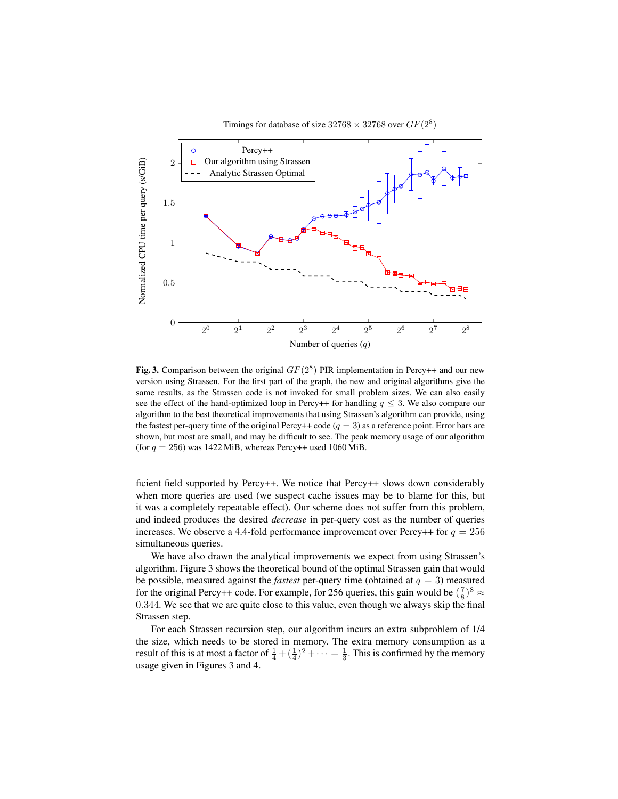

Fig. 3. Comparison between the original  $GF(2^8)$  PIR implementation in Percy++ and our new version using Strassen. For the first part of the graph, the new and original algorithms give the same results, as the Strassen code is not invoked for small problem sizes. We can also easily see the effect of the hand-optimized loop in Percy++ for handling  $q \leq 3$ . We also compare our algorithm to the best theoretical improvements that using Strassen's algorithm can provide, using the fastest per-query time of the original Percy++ code ( $q = 3$ ) as a reference point. Error bars are shown, but most are small, and may be difficult to see. The peak memory usage of our algorithm (for  $q = 256$ ) was 1422 MiB, whereas Percy++ used 1060 MiB.

ficient field supported by Percy++. We notice that Percy++ slows down considerably when more queries are used (we suspect cache issues may be to blame for this, but it was a completely repeatable effect). Our scheme does not suffer from this problem, and indeed produces the desired *decrease* in per-query cost as the number of queries increases. We observe a 4.4-fold performance improvement over Percy++ for  $q = 256$ simultaneous queries.

We have also drawn the analytical improvements we expect from using Strassen's algorithm. Figure 3 shows the theoretical bound of the optimal Strassen gain that would be possible, measured against the *fastest* per-query time (obtained at  $q = 3$ ) measured for the original Percy++ code. For example, for 256 queries, this gain would be  $(\frac{7}{8})^8 \approx$ 0.344. We see that we are quite close to this value, even though we always skip the final Strassen step.

For each Strassen recursion step, our algorithm incurs an extra subproblem of 1/4 the size, which needs to be stored in memory. The extra memory consumption as a result of this is at most a factor of  $\frac{1}{4} + (\frac{1}{4})^2 + \cdots = \frac{1}{3}$ . This is confirmed by the memory usage given in Figures 3 and 4.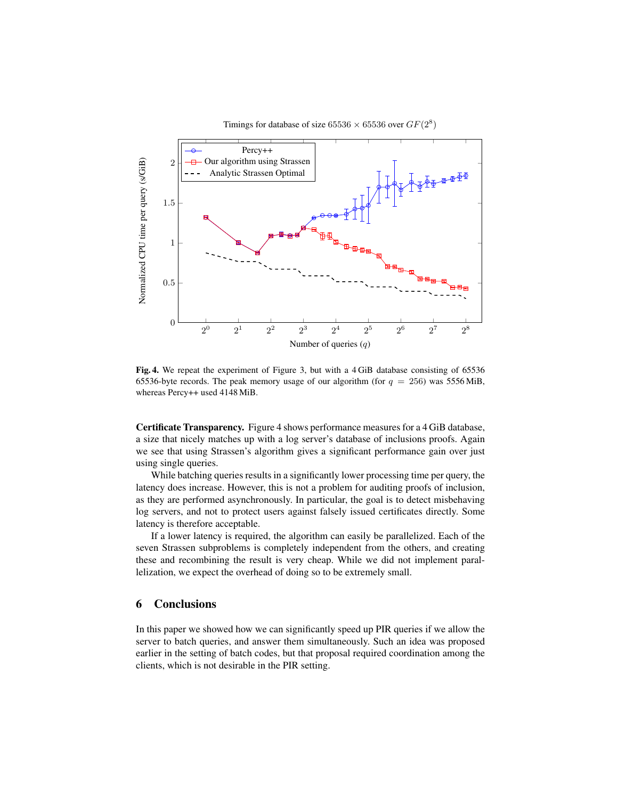

Fig. 4. We repeat the experiment of Figure 3, but with a 4 GiB database consisting of 65536 65536-byte records. The peak memory usage of our algorithm (for  $q = 256$ ) was 5556 MiB, whereas Percy++ used 4148 MiB.

Certificate Transparency. Figure 4 shows performance measures for a 4 GiB database, a size that nicely matches up with a log server's database of inclusions proofs. Again we see that using Strassen's algorithm gives a significant performance gain over just using single queries.

While batching queries results in a significantly lower processing time per query, the latency does increase. However, this is not a problem for auditing proofs of inclusion, as they are performed asynchronously. In particular, the goal is to detect misbehaving log servers, and not to protect users against falsely issued certificates directly. Some latency is therefore acceptable.

If a lower latency is required, the algorithm can easily be parallelized. Each of the seven Strassen subproblems is completely independent from the others, and creating these and recombining the result is very cheap. While we did not implement parallelization, we expect the overhead of doing so to be extremely small.

# 6 Conclusions

In this paper we showed how we can significantly speed up PIR queries if we allow the server to batch queries, and answer them simultaneously. Such an idea was proposed earlier in the setting of batch codes, but that proposal required coordination among the clients, which is not desirable in the PIR setting.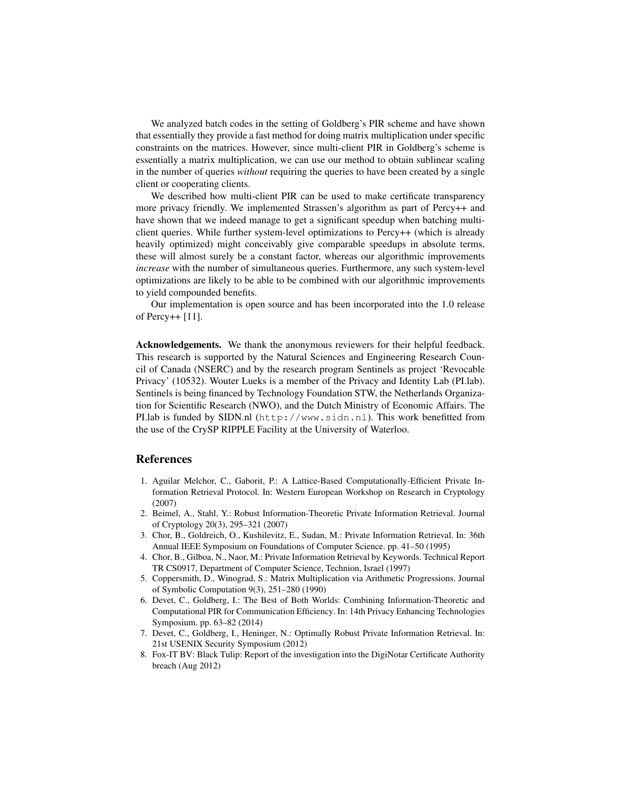We analyzed batch codes in the setting of Goldberg's PIR scheme and have shown that essentially they provide a fast method for doing matrix multiplication under specific constraints on the matrices. However, since multi-client PIR in Goldberg's scheme is essentially a matrix multiplication, we can use our method to obtain sublinear scaling in the number of queries *without* requiring the queries to have been created by a single client or cooperating clients.

We described how multi-client PIR can be used to make certificate transparency more privacy friendly. We implemented Strassen's algorithm as part of Percy++ and have shown that we indeed manage to get a significant speedup when batching multiclient queries. While further system-level optimizations to Percy++ (which is already heavily optimized) might conceivably give comparable speedups in absolute terms, these will almost surely be a constant factor, whereas our algorithmic improvements *increase* with the number of simultaneous queries. Furthermore, any such system-level optimizations are likely to be able to be combined with our algorithmic improvements to yield compounded benefits.

Our implementation is open source and has been incorporated into the 1.0 release of Percy++ [11].

Acknowledgements. We thank the anonymous reviewers for their helpful feedback. This research is supported by the Natural Sciences and Engineering Research Council of Canada (NSERC) and by the research program Sentinels as project 'Revocable Privacy' (10532). Wouter Lueks is a member of the Privacy and Identity Lab (PI.lab). Sentinels is being financed by Technology Foundation STW, the Netherlands Organization for Scientific Research (NWO), and the Dutch Ministry of Economic Affairs. The PI.lab is funded by SIDN.nl (http://www.sidn.nl). This work benefitted from the use of the CrySP RIPPLE Facility at the University of Waterloo.

### References

- 1. Aguilar Melchor, C., Gaborit, P.: A Lattice-Based Computationally-Efficient Private Information Retrieval Protocol. In: Western European Workshop on Research in Cryptology (2007)
- 2. Beimel, A., Stahl, Y.: Robust Information-Theoretic Private Information Retrieval. Journal of Cryptology 20(3), 295–321 (2007)
- 3. Chor, B., Goldreich, O., Kushilevitz, E., Sudan, M.: Private Information Retrieval. In: 36th Annual IEEE Symposium on Foundations of Computer Science. pp. 41–50 (1995)
- 4. Chor, B., Gilboa, N., Naor, M.: Private Information Retrieval by Keywords. Technical Report TR CS0917, Department of Computer Science, Technion, Israel (1997)
- 5. Coppersmith, D., Winograd, S.: Matrix Multiplication via Arithmetic Progressions. Journal of Symbolic Computation 9(3), 251–280 (1990)
- 6. Devet, C., Goldberg, I.: The Best of Both Worlds: Combining Information-Theoretic and Computational PIR for Communication Efficiency. In: 14th Privacy Enhancing Technologies Symposium. pp. 63–82 (2014)
- 7. Devet, C., Goldberg, I., Heninger, N.: Optimally Robust Private Information Retrieval. In: 21st USENIX Security Symposium (2012)
- 8. Fox-IT BV: Black Tulip: Report of the investigation into the DigiNotar Certificate Authority breach (Aug 2012)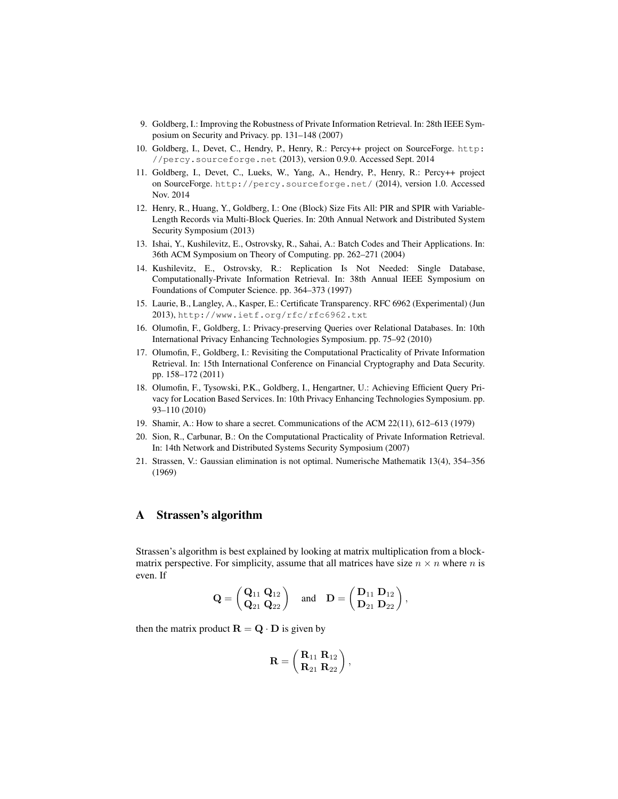- 9. Goldberg, I.: Improving the Robustness of Private Information Retrieval. In: 28th IEEE Symposium on Security and Privacy. pp. 131–148 (2007)
- 10. Goldberg, I., Devet, C., Hendry, P., Henry, R.: Percy++ project on SourceForge. http: //percy.sourceforge.net (2013), version 0.9.0. Accessed Sept. 2014
- 11. Goldberg, I., Devet, C., Lueks, W., Yang, A., Hendry, P., Henry, R.: Percy++ project on SourceForge. http://percy.sourceforge.net/ (2014), version 1.0. Accessed Nov. 2014
- 12. Henry, R., Huang, Y., Goldberg, I.: One (Block) Size Fits All: PIR and SPIR with Variable-Length Records via Multi-Block Queries. In: 20th Annual Network and Distributed System Security Symposium (2013)
- 13. Ishai, Y., Kushilevitz, E., Ostrovsky, R., Sahai, A.: Batch Codes and Their Applications. In: 36th ACM Symposium on Theory of Computing. pp. 262–271 (2004)
- 14. Kushilevitz, E., Ostrovsky, R.: Replication Is Not Needed: Single Database, Computationally-Private Information Retrieval. In: 38th Annual IEEE Symposium on Foundations of Computer Science. pp. 364–373 (1997)
- 15. Laurie, B., Langley, A., Kasper, E.: Certificate Transparency. RFC 6962 (Experimental) (Jun 2013), http://www.ietf.org/rfc/rfc6962.txt
- 16. Olumofin, F., Goldberg, I.: Privacy-preserving Queries over Relational Databases. In: 10th International Privacy Enhancing Technologies Symposium. pp. 75–92 (2010)
- 17. Olumofin, F., Goldberg, I.: Revisiting the Computational Practicality of Private Information Retrieval. In: 15th International Conference on Financial Cryptography and Data Security. pp. 158–172 (2011)
- 18. Olumofin, F., Tysowski, P.K., Goldberg, I., Hengartner, U.: Achieving Efficient Query Privacy for Location Based Services. In: 10th Privacy Enhancing Technologies Symposium. pp. 93–110 (2010)
- 19. Shamir, A.: How to share a secret. Communications of the ACM 22(11), 612–613 (1979)
- 20. Sion, R., Carbunar, B.: On the Computational Practicality of Private Information Retrieval. In: 14th Network and Distributed Systems Security Symposium (2007)
- 21. Strassen, V.: Gaussian elimination is not optimal. Numerische Mathematik 13(4), 354–356 (1969)

# A Strassen's algorithm

Strassen's algorithm is best explained by looking at matrix multiplication from a blockmatrix perspective. For simplicity, assume that all matrices have size  $n \times n$  where n is even. If

$$
\mathbf{Q} = \begin{pmatrix} \mathbf{Q}_{11} & \mathbf{Q}_{12} \\ \mathbf{Q}_{21} & \mathbf{Q}_{22} \end{pmatrix} \quad \text{and} \quad \mathbf{D} = \begin{pmatrix} \mathbf{D}_{11} & \mathbf{D}_{12} \\ \mathbf{D}_{21} & \mathbf{D}_{22} \end{pmatrix},
$$

then the matrix product  $\mathbf{R} = \mathbf{Q} \cdot \mathbf{D}$  is given by

$$
\mathbf{R} = \begin{pmatrix} \mathbf{R}_{11} \ \mathbf{R}_{12} \\ \mathbf{R}_{21} \ \mathbf{R}_{22} \end{pmatrix},
$$